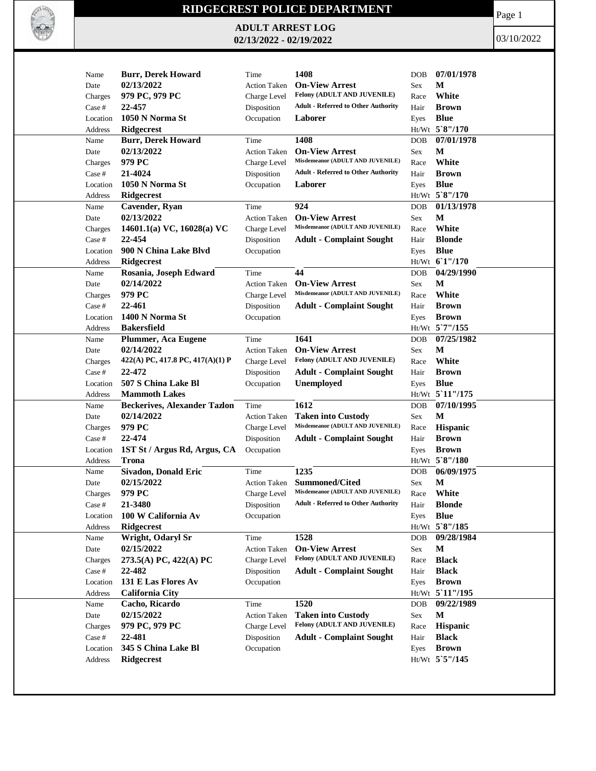

## **RIDGECREST POLICE DEPARTMENT**

**ADULT ARREST LOG 02/13/2022 - 02/19/2022**

Page 1

03/10/2022

| Name     | <b>Burr, Derek Howard</b>           | Time                | 1408                                       | <b>DOB</b> | 07/01/1978      |
|----------|-------------------------------------|---------------------|--------------------------------------------|------------|-----------------|
| Date     | 02/13/2022                          | <b>Action Taken</b> | <b>On-View Arrest</b>                      | <b>Sex</b> | М               |
| Charges  | 979 PC, 979 PC                      | Charge Level        | Felony (ADULT AND JUVENILE)                | Race       | White           |
| Case #   | 22-457                              | Disposition         | <b>Adult - Referred to Other Authority</b> | Hair       | <b>Brown</b>    |
| Location | 1050 N Norma St                     | Occupation          | Laborer                                    | Eyes       | <b>Blue</b>     |
| Address  | <b>Ridgecrest</b>                   |                     |                                            |            | Ht/Wt 5`8"/170  |
| Name     | <b>Burr, Derek Howard</b>           | Time                | 1408                                       | <b>DOB</b> | 07/01/1978      |
| Date     | 02/13/2022                          | <b>Action Taken</b> | <b>On-View Arrest</b>                      | Sex        | $\mathbf M$     |
| Charges  | 979 PC                              | Charge Level        | Misdemeanor (ADULT AND JUVENILE)           | Race       | White           |
| Case #   | 21-4024                             | Disposition         | <b>Adult - Referred to Other Authority</b> | Hair       | <b>Brown</b>    |
| Location | 1050 N Norma St                     | Occupation          | Laborer                                    | Eyes       | <b>Blue</b>     |
| Address  | Ridgecrest                          |                     |                                            |            | Ht/Wt 5`8"/170  |
| Name     | Cavender, Ryan                      | Time                | 924                                        | <b>DOB</b> | 01/13/1978      |
| Date     | 02/13/2022                          | <b>Action Taken</b> | <b>On-View Arrest</b>                      | Sex        | М               |
| Charges  | 14601.1(a) VC, 16028(a) VC          | Charge Level        | Misdemeanor (ADULT AND JUVENILE)           | Race       | White           |
| Case #   | 22-454                              | Disposition         | <b>Adult - Complaint Sought</b>            | Hair       | <b>Blonde</b>   |
| Location | 900 N China Lake Blvd               | Occupation          |                                            | Eyes       | <b>Blue</b>     |
| Address  | Ridgecrest                          |                     |                                            |            | Ht/Wt 61"/170   |
| Name     | Rosania, Joseph Edward              | Time                | 44                                         | <b>DOB</b> | 04/29/1990      |
| Date     | 02/14/2022                          | <b>Action Taken</b> | <b>On-View Arrest</b>                      | Sex        | М               |
| Charges  | 979 PC                              | Charge Level        | Misdemeanor (ADULT AND JUVENILE)           | Race       | White           |
| Case #   | 22-461                              | Disposition         | <b>Adult - Complaint Sought</b>            | Hair       | <b>Brown</b>    |
| Location | 1400 N Norma St                     | Occupation          |                                            | Eyes       | <b>Brown</b>    |
| Address  | <b>Bakersfield</b>                  |                     |                                            |            | Ht/Wt 5'7"/155  |
| Name     | Plummer, Aca Eugene                 | Time                | 1641                                       | <b>DOB</b> | 07/25/1982      |
| Date     | 02/14/2022                          | <b>Action Taken</b> | <b>On-View Arrest</b>                      | <b>Sex</b> | M               |
| Charges  | 422(A) PC, 417.8 PC, 417(A)(1) P    | Charge Level        | Felony (ADULT AND JUVENILE)                | Race       | White           |
| Case #   | 22-472                              | Disposition         | <b>Adult - Complaint Sought</b>            | Hair       | <b>Brown</b>    |
| Location | 507 S China Lake Bl                 | Occupation          | Unemployed                                 | Eyes       | <b>Blue</b>     |
| Address  | <b>Mammoth Lakes</b>                |                     |                                            |            | Ht/Wt 5'11"/175 |
| Name     | <b>Beckerives, Alexander Tazlon</b> | Time                | 1612                                       | <b>DOB</b> | 07/10/1995      |
| Date     | 02/14/2022                          | <b>Action Taken</b> | <b>Taken into Custody</b>                  | Sex        | M               |
| Charges  | 979 PC                              | Charge Level        | Misdemeanor (ADULT AND JUVENILE)           | Race       | Hispanic        |
| Case #   | 22-474                              | Disposition         | <b>Adult - Complaint Sought</b>            | Hair       | <b>Brown</b>    |
| Location | 1ST St / Argus Rd, Argus, CA        | Occupation          |                                            | Eyes       | <b>Brown</b>    |
| Address  | <b>Trona</b>                        |                     |                                            |            | Ht/Wt 5`8"/180  |
| Name     | <b>Sivadon, Donald Eric</b>         | Time                | 1235                                       | <b>DOB</b> | 06/09/1975      |
| Date     | 02/15/2022                          | <b>Action Taken</b> | <b>Summoned/Cited</b>                      | Sex        | М               |
| Charges  | 979 PC                              | Charge Level        | Misdemeanor (ADULT AND JUVENILE)           | Race       | White           |
| Case #   | 21-3480                             | Disposition         | <b>Adult - Referred to Other Authority</b> | Hair       | <b>Blonde</b>   |
| Location | 100 W California Av                 | Occupation          |                                            | Eyes       | <b>Blue</b>     |
| Address  | <b>Ridgecrest</b>                   |                     |                                            |            | Ht/Wt 5`8"/185  |
| Name     | Wright, Odaryl Sr                   | Time                | 1528                                       | <b>DOB</b> | 09/28/1984      |
| Date     | 02/15/2022                          | <b>Action Taken</b> | <b>On-View Arrest</b>                      | <b>Sex</b> | M               |
| Charges  | 273.5(A) PC, 422(A) PC              | Charge Level        | Felony (ADULT AND JUVENILE)                | Race       | <b>Black</b>    |
| Case #   | 22-482                              | Disposition         | <b>Adult - Complaint Sought</b>            | Hair       | <b>Black</b>    |
| Location | 131 E Las Flores Av                 | Occupation          |                                            | Eyes       | <b>Brown</b>    |
| Address  | <b>California City</b>              |                     |                                            |            | Ht/Wt 5'11"/195 |
| Name     | Cacho, Ricardo                      | Time                | 1520                                       | <b>DOB</b> | 09/22/1989      |
| Date     | 02/15/2022                          | <b>Action Taken</b> | <b>Taken into Custody</b>                  | Sex        | M               |
| Charges  | 979 PC, 979 PC                      | Charge Level        | Felony (ADULT AND JUVENILE)                | Race       | Hispanic        |
| Case #   | 22-481                              | Disposition         | <b>Adult - Complaint Sought</b>            | Hair       | <b>Black</b>    |
| Location | 345 S China Lake Bl                 | Occupation          |                                            | Eyes       | <b>Brown</b>    |
| Address  | Ridgecrest                          |                     |                                            |            | Ht/Wt 5'5"/145  |
|          |                                     |                     |                                            |            |                 |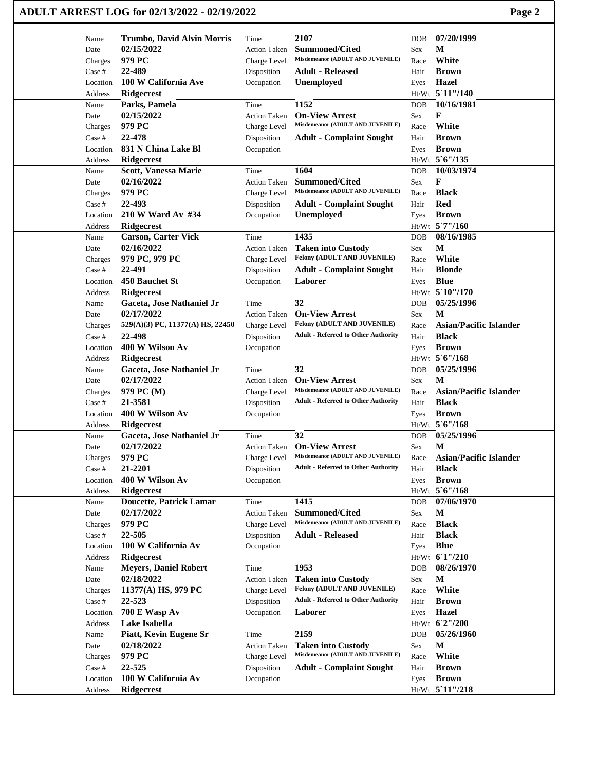## **ADULT ARREST LOG for 02/13/2022 - 02/19/2022 Page 2**

| Name                | Trumbo, David Alvin Morris               | Time                | 2107                                                      | <b>DOB</b> | 07/20/1999                      |
|---------------------|------------------------------------------|---------------------|-----------------------------------------------------------|------------|---------------------------------|
| Date                | 02/15/2022                               | <b>Action Taken</b> | Summoned/Cited                                            | Sex        | M                               |
| Charges             | 979 PC                                   | Charge Level        | Misdemeanor (ADULT AND JUVENILE)                          | Race       | White                           |
| Case #              | 22-489                                   | Disposition         | <b>Adult - Released</b>                                   | Hair       | <b>Brown</b>                    |
| Location            | 100 W California Ave                     | Occupation          | Unemployed                                                | Eyes       | Hazel                           |
| Address             | Ridgecrest                               |                     |                                                           |            | Ht/Wt 5 11"/140                 |
| Name                | Parks, Pamela                            | Time                | 1152                                                      | <b>DOB</b> | 10/16/1981                      |
| Date                | 02/15/2022                               | <b>Action Taken</b> | <b>On-View Arrest</b>                                     | Sex        | F                               |
| Charges             | 979 PC                                   | Charge Level        | Misdemeanor (ADULT AND JUVENILE)                          | Race       | White                           |
| Case #              | 22-478                                   | Disposition         | <b>Adult - Complaint Sought</b>                           | Hair       | <b>Brown</b>                    |
| Location            | 831 N China Lake Bl                      | Occupation          |                                                           | Eyes       | <b>Brown</b>                    |
| Address             | <b>Ridgecrest</b>                        |                     |                                                           |            | Ht/Wt 5'6"/135                  |
| Name                | Scott, Vanessa Marie                     | Time                | 1604                                                      | <b>DOB</b> | 10/03/1974                      |
| Date                | 02/16/2022                               | Action Taken        | <b>Summoned/Cited</b>                                     | Sex        | F                               |
| Charges             | 979 PC                                   | Charge Level        | Misdemeanor (ADULT AND JUVENILE)                          | Race       | <b>Black</b>                    |
| Case #              | 22-493                                   | Disposition         | <b>Adult - Complaint Sought</b>                           | Hair       | <b>Red</b>                      |
| Location            | 210 W Ward Av #34                        | Occupation          | <b>Unemployed</b>                                         | Eyes       | <b>Brown</b>                    |
| Address             | <b>Ridgecrest</b>                        |                     |                                                           |            | Ht/Wt 5`7"/160                  |
| Name                | <b>Carson, Carter Vick</b>               | Time                | 1435                                                      | <b>DOB</b> | 08/16/1985                      |
| Date                | 02/16/2022                               | <b>Action Taken</b> | <b>Taken into Custody</b>                                 | Sex        | M                               |
| Charges             | 979 PC, 979 PC                           | Charge Level        | Felony (ADULT AND JUVENILE)                               | Race       | White                           |
| Case #              | 22-491                                   | Disposition         | <b>Adult - Complaint Sought</b>                           | Hair       | <b>Blonde</b>                   |
| Location            | 450 Bauchet St                           | Occupation          | Laborer                                                   | Eyes       | <b>Blue</b>                     |
| Address             | <b>Ridgecrest</b>                        |                     |                                                           |            | Ht/Wt 5`10"/170                 |
| Name                | Gaceta, Jose Nathaniel Jr                | Time                | 32                                                        | <b>DOB</b> | 05/25/1996                      |
| Date                | 02/17/2022                               | <b>Action Taken</b> | <b>On-View Arrest</b>                                     | Sex        | М                               |
| Charges             | 529(A)(3) PC, 11377(A) HS, 22450         | Charge Level        | Felony (ADULT AND JUVENILE)                               | Race       | <b>Asian/Pacific Islander</b>   |
| Case #              | 22-498                                   | Disposition         | <b>Adult - Referred to Other Authority</b>                | Hair       | <b>Black</b>                    |
| Location            | 400 W Wilson Av                          | Occupation          |                                                           | Eyes       | <b>Brown</b>                    |
| Address             | Ridgecrest                               |                     |                                                           |            | Ht/Wt 5'6"/168                  |
|                     |                                          |                     |                                                           |            |                                 |
|                     |                                          |                     |                                                           |            |                                 |
| Name                | Gaceta, Jose Nathaniel Jr                | Time                | 32                                                        | <b>DOB</b> | 05/25/1996                      |
| Date                | 02/17/2022                               | <b>Action Taken</b> | <b>On-View Arrest</b><br>Misdemeanor (ADULT AND JUVENILE) | Sex        | M                               |
| Charges             | 979 PC (M)                               | Charge Level        |                                                           | Race       | <b>Asian/Pacific Islander</b>   |
| Case #              | 21-3581                                  | Disposition         | <b>Adult - Referred to Other Authority</b>                | Hair       | <b>Black</b>                    |
| Location            | 400 W Wilson Av                          | Occupation          |                                                           | Eyes       | <b>Brown</b>                    |
| Address             | <b>Ridgecrest</b>                        |                     |                                                           |            | Ht/Wt 5'6"/168                  |
| Name                | Gaceta, Jose Nathaniel Jr                | Time                | 32                                                        | <b>DOB</b> | 05/25/1996                      |
| Date                | 02/17/2022                               | <b>Action Taken</b> | <b>On-View Arrest</b><br>Misdemeanor (ADULT AND JUVENILE) | Sex        | M                               |
| Charges             | 979 PC                                   | Charge Level        | <b>Adult - Referred to Other Authority</b>                | Race       | <b>Asian/Pacific Islander</b>   |
| Case #              | 21-2201                                  | Disposition         |                                                           | Hair       | <b>Black</b>                    |
| Location            | 400 W Wilson Av                          | Occupation          |                                                           | Eyes       | <b>Brown</b>                    |
| Address             | Ridgecrest                               |                     |                                                           |            | Ht/Wt 5'6"/168                  |
| Name                | <b>Doucette, Patrick Lamar</b>           | Time                | 1415                                                      | <b>DOB</b> | 07/06/1970                      |
| Date                | 02/17/2022                               | <b>Action Taken</b> | <b>Summoned/Cited</b><br>Misdemeanor (ADULT AND JUVENILE) | Sex        | $\mathbf M$                     |
| Charges             | 979 PC                                   | Charge Level        |                                                           | Race       | <b>Black</b>                    |
| Case $\#$           | 22-505                                   | Disposition         | <b>Adult - Released</b>                                   | Hair       | <b>Black</b>                    |
| Location            | 100 W California Av                      | Occupation          |                                                           | Eyes       | <b>Blue</b>                     |
| Address             | Ridgecrest                               |                     |                                                           |            | Ht/Wt 61"/210                   |
| Name                | <b>Meyers, Daniel Robert</b>             | Time                | 1953                                                      | <b>DOB</b> | 08/26/1970                      |
| Date                | 02/18/2022                               | <b>Action Taken</b> | <b>Taken into Custody</b>                                 | Sex        | M                               |
| Charges             | 11377(A) HS, 979 PC                      | Charge Level        | Felony (ADULT AND JUVENILE)                               | Race       | White                           |
| Case #              | 22-523                                   | Disposition         | <b>Adult - Referred to Other Authority</b>                | Hair       | <b>Brown</b>                    |
| Location            | 700 E Wasp Av                            | Occupation          | Laborer                                                   | Eyes       | Hazel                           |
| Address             | Lake Isabella                            |                     |                                                           |            | Ht/Wt 6'2"/200                  |
| Name                | Piatt, Kevin Eugene Sr                   | Time                | 2159                                                      | <b>DOB</b> | 05/26/1960                      |
| Date                | 02/18/2022                               | <b>Action Taken</b> | <b>Taken into Custody</b>                                 | Sex        | M                               |
| Charges             | 979 PC                                   | Charge Level        | Misdemeanor (ADULT AND JUVENILE)                          | Race       | White                           |
| Case #              | 22-525                                   | Disposition         | <b>Adult - Complaint Sought</b>                           | Hair       | <b>Brown</b>                    |
| Location<br>Address | 100 W California Av<br><b>Ridgecrest</b> | Occupation          |                                                           | Eyes       | <b>Brown</b><br>Ht/Wt_5`11"/218 |